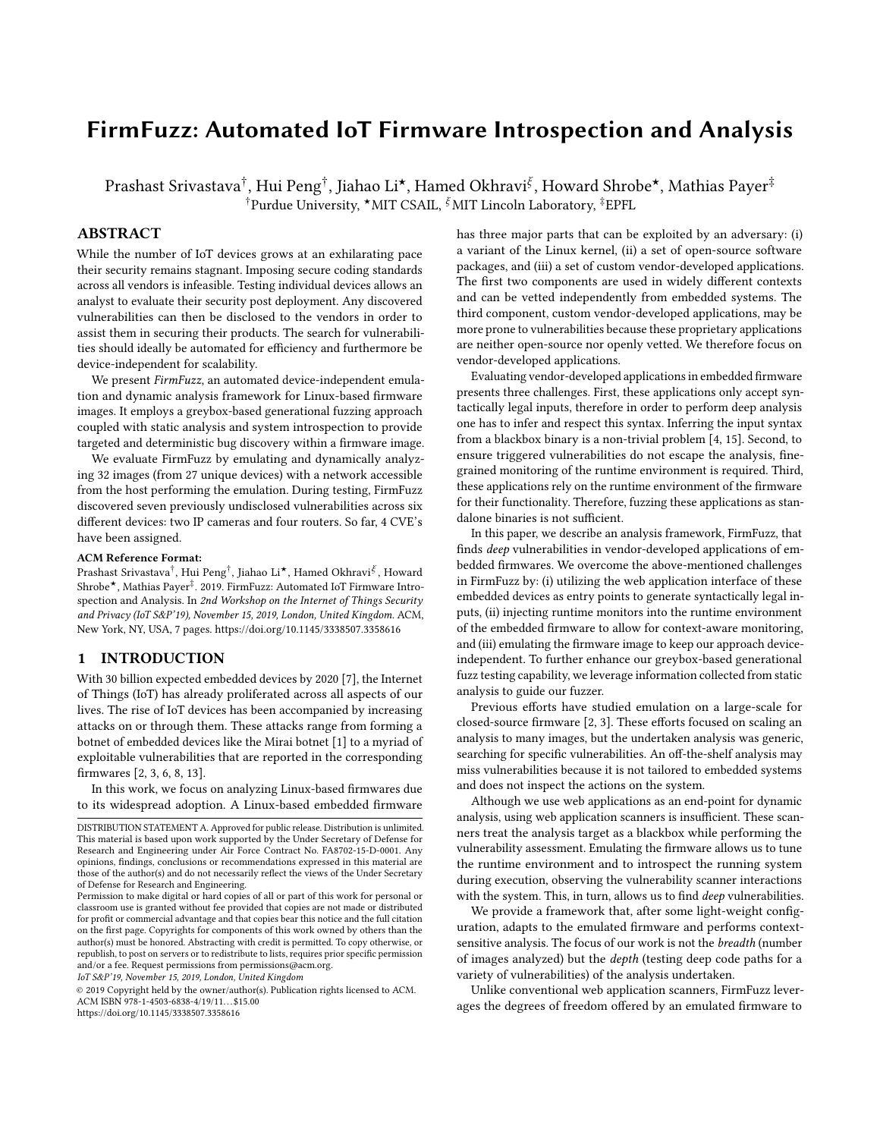# FirmFuzz: Automated IoT Firmware Introspection and Analysis

Prashast Srivastava†, Hui Peng†, Jiahao Li\*, Hamed Okhravi $^\xi$ , Howard Shrobe\*, Mathias Payer $^\ddagger$ †Purdue University, <sup>⋆</sup>MIT CSAIL, <sup>ξ</sup> MIT Lincoln Laboratory, ‡EPFL

# ABSTRACT

While the number of IoT devices grows at an exhilarating pace their security remains stagnant. Imposing secure coding standards across all vendors is infeasible. Testing individual devices allows an analyst to evaluate their security post deployment. Any discovered vulnerabilities can then be disclosed to the vendors in order to assist them in securing their products. The search for vulnerabilities should ideally be automated for efficiency and furthermore be device-independent for scalability.

We present FirmFuzz, an automated device-independent emulation and dynamic analysis framework for Linux-based firmware images. It employs a greybox-based generational fuzzing approach coupled with static analysis and system introspection to provide targeted and deterministic bug discovery within a firmware image.

We evaluate FirmFuzz by emulating and dynamically analyzing 32 images (from 27 unique devices) with a network accessible from the host performing the emulation. During testing, FirmFuzz discovered seven previously undisclosed vulnerabilities across six different devices: two IP cameras and four routers. So far, 4 CVE's have been assigned.

#### ACM Reference Format:

Prashast Srivastava $^\dagger$ , Hui Peng $^\dagger$ , Jiahao Li $^\star$ , Hamed Okhravi $^\xi$ , Howard  $\text{Shrob} \star$ , Mathias Payer $^{\ddagger}$ . 2019. FirmFuzz: Automated IoT Firmware Introspection and Analysis. In 2nd Workshop on the Internet of Things Security and Privacy (IoT S&P'19), November 15, 2019, London, United Kingdom. ACM, New York, NY, USA, [7](#page-6-0) pages.<https://doi.org/10.1145/3338507.3358616>

# 1 INTRODUCTION

With 30 billion expected embedded devices by 2020 [\[7\]](#page-6-1), the Internet of Things (IoT) has already proliferated across all aspects of our lives. The rise of IoT devices has been accompanied by increasing attacks on or through them. These attacks range from forming a botnet of embedded devices like the Mirai botnet [\[1\]](#page-6-2) to a myriad of exploitable vulnerabilities that are reported in the corresponding firmwares [\[2,](#page-6-3) [3,](#page-6-4) [6,](#page-6-5) [8,](#page-6-6) [13\]](#page-6-7).

In this work, we focus on analyzing Linux-based firmwares due to its widespread adoption. A Linux-based embedded firmware

IoT S&P'19, November 15, 2019, London, United Kingdom

© 2019 Copyright held by the owner/author(s). Publication rights licensed to ACM. ACM ISBN 978-1-4503-6838-4/19/11...\$15.00 <https://doi.org/10.1145/3338507.3358616>

has three major parts that can be exploited by an adversary: (i) a variant of the Linux kernel, (ii) a set of open-source software packages, and (iii) a set of custom vendor-developed applications. The first two components are used in widely different contexts and can be vetted independently from embedded systems. The third component, custom vendor-developed applications, may be more prone to vulnerabilities because these proprietary applications are neither open-source nor openly vetted. We therefore focus on vendor-developed applications.

Evaluating vendor-developed applications in embedded firmware presents three challenges. First, these applications only accept syntactically legal inputs, therefore in order to perform deep analysis one has to infer and respect this syntax. Inferring the input syntax from a blackbox binary is a non-trivial problem [\[4,](#page-6-8) [15\]](#page-6-9). Second, to ensure triggered vulnerabilities do not escape the analysis, finegrained monitoring of the runtime environment is required. Third, these applications rely on the runtime environment of the firmware for their functionality. Therefore, fuzzing these applications as standalone binaries is not sufficient.

In this paper, we describe an analysis framework, FirmFuzz, that finds deep vulnerabilities in vendor-developed applications of embedded firmwares. We overcome the above-mentioned challenges in FirmFuzz by: (i) utilizing the web application interface of these embedded devices as entry points to generate syntactically legal inputs, (ii) injecting runtime monitors into the runtime environment of the embedded firmware to allow for context-aware monitoring, and (iii) emulating the firmware image to keep our approach deviceindependent. To further enhance our greybox-based generational fuzz testing capability, we leverage information collected from static analysis to guide our fuzzer.

Previous efforts have studied emulation on a large-scale for closed-source firmware [\[2,](#page-6-3) [3\]](#page-6-4). These efforts focused on scaling an analysis to many images, but the undertaken analysis was generic, searching for specific vulnerabilities. An off-the-shelf analysis may miss vulnerabilities because it is not tailored to embedded systems and does not inspect the actions on the system.

Although we use web applications as an end-point for dynamic analysis, using web application scanners is insufficient. These scanners treat the analysis target as a blackbox while performing the vulnerability assessment. Emulating the firmware allows us to tune the runtime environment and to introspect the running system during execution, observing the vulnerability scanner interactions with the system. This, in turn, allows us to find *deep* vulnerabilities.

We provide a framework that, after some light-weight configuration, adapts to the emulated firmware and performs contextsensitive analysis. The focus of our work is not the breadth (number of images analyzed) but the depth (testing deep code paths for a variety of vulnerabilities) of the analysis undertaken.

Unlike conventional web application scanners, FirmFuzz leverages the degrees of freedom offered by an emulated firmware to

DISTRIBUTION STATEMENT A. Approved for public release. Distribution is unlimited. This material is based upon work supported by the Under Secretary of Defense for Research and Engineering under Air Force Contract No. FA8702-15-D-0001. Any opinions, findings, conclusions or recommendations expressed in this material are those of the author(s) and do not necessarily reflect the views of the Under Secretary of Defense for Research and Engineering.

Permission to make digital or hard copies of all or part of this work for personal or classroom use is granted without fee provided that copies are not made or distributed for profit or commercial advantage and that copies bear this notice and the full citation on the first page. Copyrights for components of this work owned by others than the author(s) must be honored. Abstracting with credit is permitted. To copy otherwise, or republish, to post on servers or to redistribute to lists, requires prior specific permission and/or a fee. Request permissions from permissions@acm.org.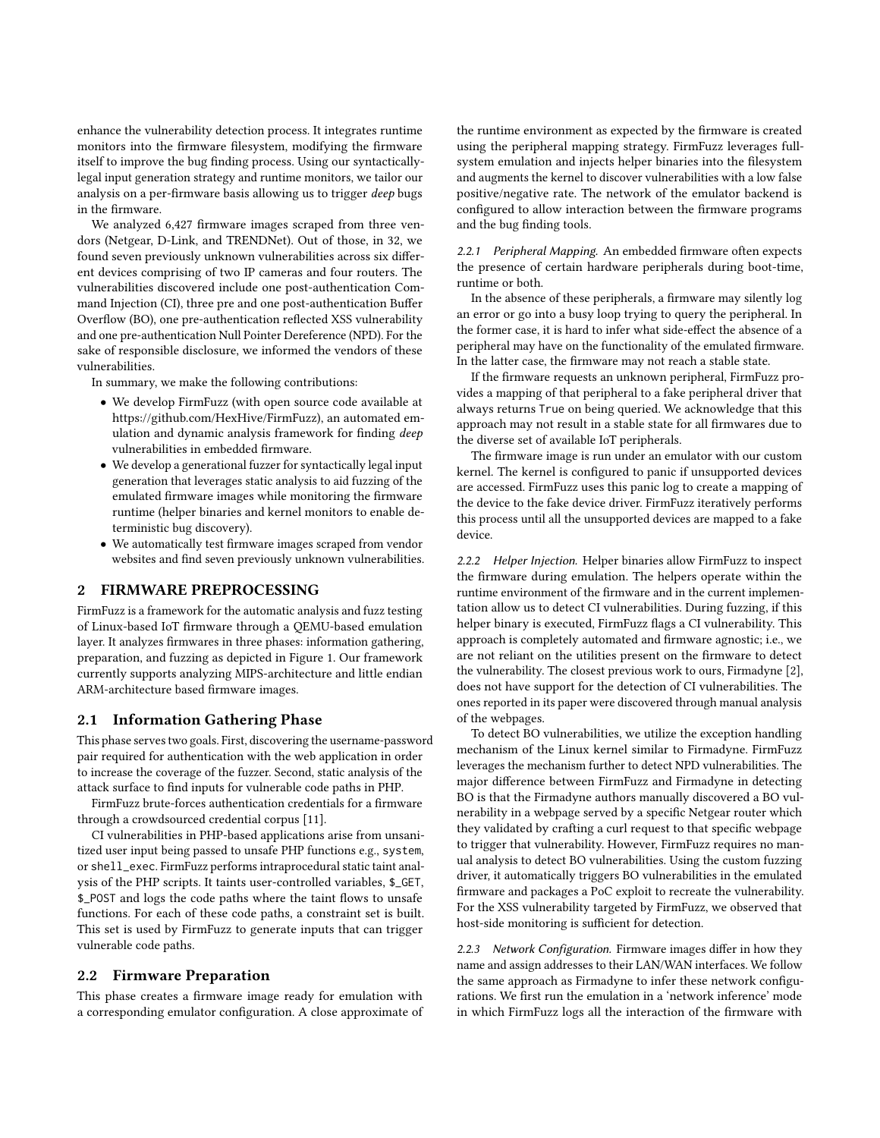enhance the vulnerability detection process. It integrates runtime monitors into the firmware filesystem, modifying the firmware itself to improve the bug finding process. Using our syntacticallylegal input generation strategy and runtime monitors, we tailor our analysis on a per-firmware basis allowing us to trigger deep bugs in the firmware.

We analyzed 6,427 firmware images scraped from three vendors (Netgear, D-Link, and TRENDNet). Out of those, in 32, we found seven previously unknown vulnerabilities across six different devices comprising of two IP cameras and four routers. The vulnerabilities discovered include one post-authentication Command Injection (CI), three pre and one post-authentication Buffer Overflow (BO), one pre-authentication reflected XSS vulnerability and one pre-authentication Null Pointer Dereference (NPD). For the sake of responsible disclosure, we informed the vendors of these vulnerabilities.

In summary, we make the following contributions:

- We develop FirmFuzz (with open source code available at [https://github.com/HexHive/FirmFuzz\)](https://github.com/HexHive/FirmFuzz), an automated emulation and dynamic analysis framework for finding deep vulnerabilities in embedded firmware.
- We develop a generational fuzzer for syntactically legal input generation that leverages static analysis to aid fuzzing of the emulated firmware images while monitoring the firmware runtime (helper binaries and kernel monitors to enable deterministic bug discovery).
- We automatically test firmware images scraped from vendor websites and find seven previously unknown vulnerabilities.

# 2 FIRMWARE PREPROCESSING

FirmFuzz is a framework for the automatic analysis and fuzz testing of Linux-based IoT firmware through a QEMU-based emulation layer. It analyzes firmwares in three phases: information gathering, preparation, and fuzzing as depicted in [Figure 1.](#page-2-0) Our framework currently supports analyzing MIPS-architecture and little endian ARM-architecture based firmware images.

# 2.1 Information Gathering Phase

This phase serves two goals. First, discovering the username-password pair required for authentication with the web application in order to increase the coverage of the fuzzer. Second, static analysis of the attack surface to find inputs for vulnerable code paths in PHP.

FirmFuzz brute-forces authentication credentials for a firmware through a crowdsourced credential corpus [\[11\]](#page-6-10).

CI vulnerabilities in PHP-based applications arise from unsanitized user input being passed to unsafe PHP functions e.g., system, or shell\_exec. FirmFuzz performs intraprocedural static taint analysis of the PHP scripts. It taints user-controlled variables, \$\_GET, \$\_POST and logs the code paths where the taint flows to unsafe functions. For each of these code paths, a constraint set is built. This set is used by FirmFuzz to generate inputs that can trigger vulnerable code paths.

## 2.2 Firmware Preparation

This phase creates a firmware image ready for emulation with a corresponding emulator configuration. A close approximate of the runtime environment as expected by the firmware is created using the peripheral mapping strategy. FirmFuzz leverages fullsystem emulation and injects helper binaries into the filesystem and augments the kernel to discover vulnerabilities with a low false positive/negative rate. The network of the emulator backend is configured to allow interaction between the firmware programs and the bug finding tools.

2.2.1 Peripheral Mapping. An embedded firmware often expects the presence of certain hardware peripherals during boot-time, runtime or both.

In the absence of these peripherals, a firmware may silently log an error or go into a busy loop trying to query the peripheral. In the former case, it is hard to infer what side-effect the absence of a peripheral may have on the functionality of the emulated firmware. In the latter case, the firmware may not reach a stable state.

If the firmware requests an unknown peripheral, FirmFuzz provides a mapping of that peripheral to a fake peripheral driver that always returns True on being queried. We acknowledge that this approach may not result in a stable state for all firmwares due to the diverse set of available IoT peripherals.

The firmware image is run under an emulator with our custom kernel. The kernel is configured to panic if unsupported devices are accessed. FirmFuzz uses this panic log to create a mapping of the device to the fake device driver. FirmFuzz iteratively performs this process until all the unsupported devices are mapped to a fake device.

<span id="page-1-0"></span>2.2.2 Helper Injection. Helper binaries allow FirmFuzz to inspect the firmware during emulation. The helpers operate within the runtime environment of the firmware and in the current implementation allow us to detect CI vulnerabilities. During fuzzing, if this helper binary is executed, FirmFuzz flags a CI vulnerability. This approach is completely automated and firmware agnostic; i.e., we are not reliant on the utilities present on the firmware to detect the vulnerability. The closest previous work to ours, Firmadyne [\[2\]](#page-6-3), does not have support for the detection of CI vulnerabilities. The ones reported in its paper were discovered through manual analysis of the webpages.

To detect BO vulnerabilities, we utilize the exception handling mechanism of the Linux kernel similar to Firmadyne. FirmFuzz leverages the mechanism further to detect NPD vulnerabilities. The major difference between FirmFuzz and Firmadyne in detecting BO is that the Firmadyne authors manually discovered a BO vulnerability in a webpage served by a specific Netgear router which they validated by crafting a curl request to that specific webpage to trigger that vulnerability. However, FirmFuzz requires no manual analysis to detect BO vulnerabilities. Using the custom fuzzing driver, it automatically triggers BO vulnerabilities in the emulated firmware and packages a PoC exploit to recreate the vulnerability. For the XSS vulnerability targeted by FirmFuzz, we observed that host-side monitoring is sufficient for detection.

2.2.3 Network Configuration. Firmware images differ in how they name and assign addresses to their LAN/WAN interfaces. We follow the same approach as Firmadyne to infer these network configurations. We first run the emulation in a 'network inference' mode in which FirmFuzz logs all the interaction of the firmware with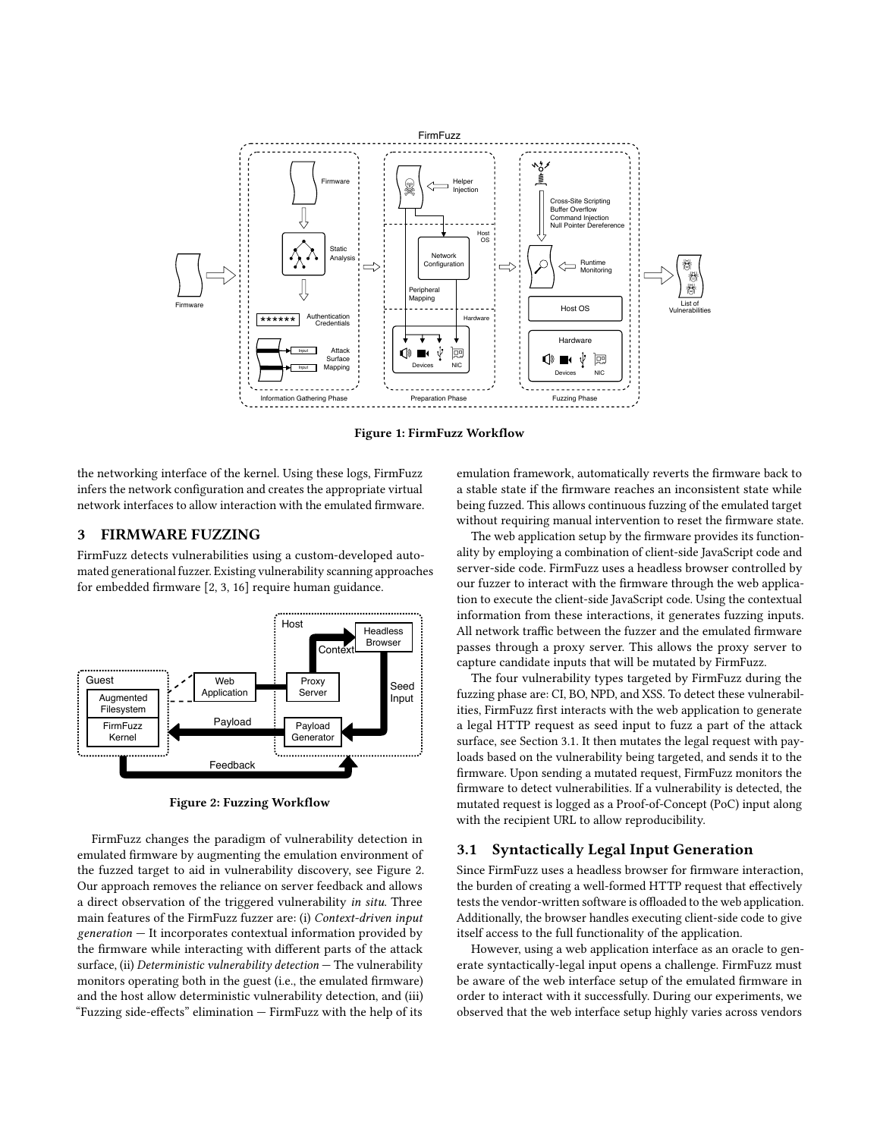<span id="page-2-0"></span>

Figure 1: FirmFuzz Workflow

the networking interface of the kernel. Using these logs, FirmFuzz infers the network configuration and creates the appropriate virtual network interfaces to allow interaction with the emulated firmware.

# 3 FIRMWARE FUZZING

FirmFuzz detects vulnerabilities using a custom-developed automated generational fuzzer. Existing vulnerability scanning approaches for embedded firmware [\[2,](#page-6-3) [3,](#page-6-4) [16\]](#page-6-11) require human guidance.

<span id="page-2-1"></span>

Figure 2: Fuzzing Workflow

FirmFuzz changes the paradigm of vulnerability detection in emulated firmware by augmenting the emulation environment of the fuzzed target to aid in vulnerability discovery, see [Figure 2.](#page-2-1) Our approach removes the reliance on server feedback and allows a direct observation of the triggered vulnerability in situ. Three main features of the FirmFuzz fuzzer are: (i) Context-driven input generation — It incorporates contextual information provided by the firmware while interacting with different parts of the attack surface, (ii) Deterministic vulnerability detection  $-$  The vulnerability monitors operating both in the guest (i.e., the emulated firmware) and the host allow deterministic vulnerability detection, and (iii) "Fuzzing side-effects" elimination — FirmFuzz with the help of its

emulation framework, automatically reverts the firmware back to a stable state if the firmware reaches an inconsistent state while being fuzzed. This allows continuous fuzzing of the emulated target without requiring manual intervention to reset the firmware state.

The web application setup by the firmware provides its functionality by employing a combination of client-side JavaScript code and server-side code. FirmFuzz uses a headless browser controlled by our fuzzer to interact with the firmware through the web application to execute the client-side JavaScript code. Using the contextual information from these interactions, it generates fuzzing inputs. All network traffic between the fuzzer and the emulated firmware passes through a proxy server. This allows the proxy server to capture candidate inputs that will be mutated by FirmFuzz.

The four vulnerability types targeted by FirmFuzz during the fuzzing phase are: CI, BO, NPD, and XSS. To detect these vulnerabilities, FirmFuzz first interacts with the web application to generate a legal HTTP request as seed input to fuzz a part of the attack surface, see [Section 3.1.](#page-2-2) It then mutates the legal request with payloads based on the vulnerability being targeted, and sends it to the firmware. Upon sending a mutated request, FirmFuzz monitors the firmware to detect vulnerabilities. If a vulnerability is detected, the mutated request is logged as a Proof-of-Concept (PoC) input along with the recipient URL to allow reproducibility.

## <span id="page-2-2"></span>3.1 Syntactically Legal Input Generation

Since FirmFuzz uses a headless browser for firmware interaction, the burden of creating a well-formed HTTP request that effectively tests the vendor-written software is offloaded to the web application. Additionally, the browser handles executing client-side code to give itself access to the full functionality of the application.

However, using a web application interface as an oracle to generate syntactically-legal input opens a challenge. FirmFuzz must be aware of the web interface setup of the emulated firmware in order to interact with it successfully. During our experiments, we observed that the web interface setup highly varies across vendors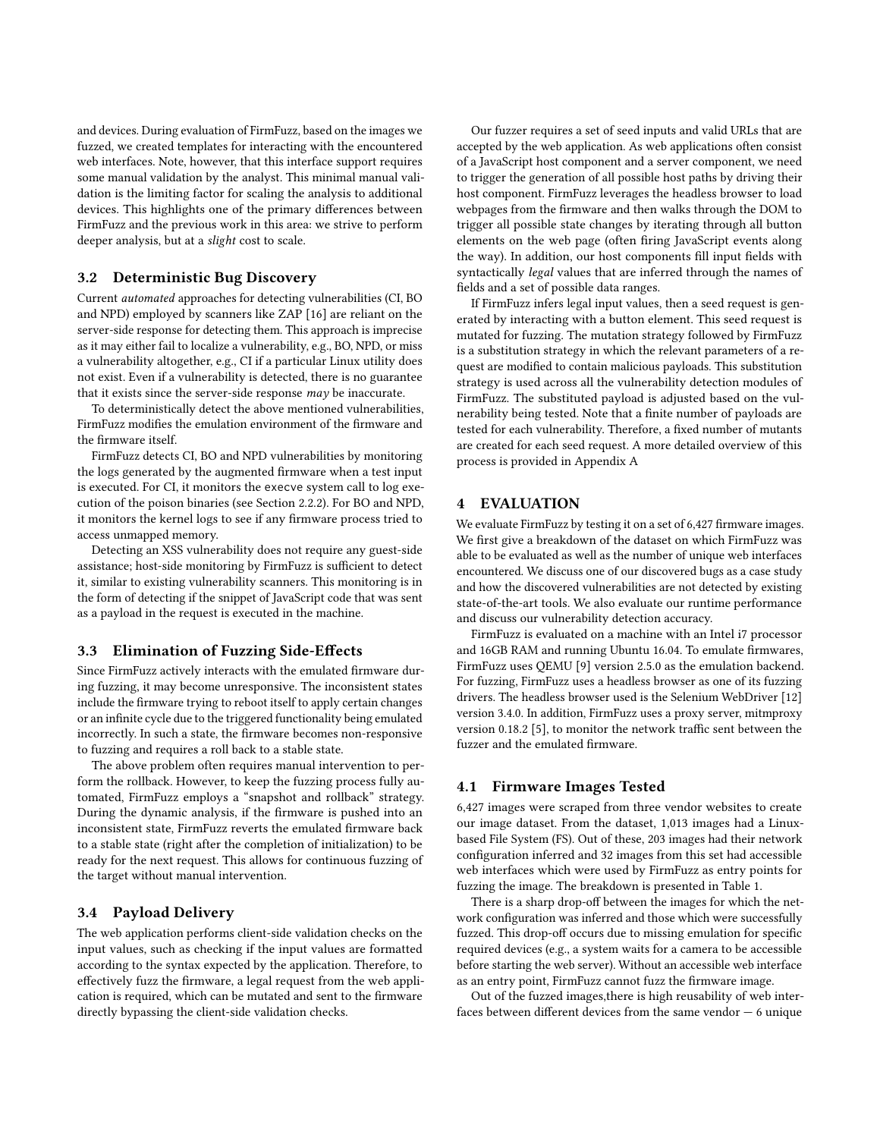and devices. During evaluation of FirmFuzz, based on the images we fuzzed, we created templates for interacting with the encountered web interfaces. Note, however, that this interface support requires some manual validation by the analyst. This minimal manual validation is the limiting factor for scaling the analysis to additional devices. This highlights one of the primary differences between FirmFuzz and the previous work in this area: we strive to perform deeper analysis, but at a slight cost to scale.

# 3.2 Deterministic Bug Discovery

Current automated approaches for detecting vulnerabilities (CI, BO and NPD) employed by scanners like ZAP [\[16\]](#page-6-11) are reliant on the server-side response for detecting them. This approach is imprecise as it may either fail to localize a vulnerability, e.g., BO, NPD, or miss a vulnerability altogether, e.g., CI if a particular Linux utility does not exist. Even if a vulnerability is detected, there is no guarantee that it exists since the server-side response may be inaccurate.

To deterministically detect the above mentioned vulnerabilities, FirmFuzz modifies the emulation environment of the firmware and the firmware itself.

FirmFuzz detects CI, BO and NPD vulnerabilities by monitoring the logs generated by the augmented firmware when a test input is executed. For CI, it monitors the execve system call to log execution of the poison binaries (see [Section 2.2.2\)](#page-1-0). For BO and NPD, it monitors the kernel logs to see if any firmware process tried to access unmapped memory.

Detecting an XSS vulnerability does not require any guest-side assistance; host-side monitoring by FirmFuzz is sufficient to detect it, similar to existing vulnerability scanners. This monitoring is in the form of detecting if the snippet of JavaScript code that was sent as a payload in the request is executed in the machine.

# 3.3 Elimination of Fuzzing Side-Effects

Since FirmFuzz actively interacts with the emulated firmware during fuzzing, it may become unresponsive. The inconsistent states include the firmware trying to reboot itself to apply certain changes or an infinite cycle due to the triggered functionality being emulated incorrectly. In such a state, the firmware becomes non-responsive to fuzzing and requires a roll back to a stable state.

The above problem often requires manual intervention to perform the rollback. However, to keep the fuzzing process fully automated, FirmFuzz employs a "snapshot and rollback" strategy. During the dynamic analysis, if the firmware is pushed into an inconsistent state, FirmFuzz reverts the emulated firmware back to a stable state (right after the completion of initialization) to be ready for the next request. This allows for continuous fuzzing of the target without manual intervention.

#### 3.4 Payload Delivery

The web application performs client-side validation checks on the input values, such as checking if the input values are formatted according to the syntax expected by the application. Therefore, to effectively fuzz the firmware, a legal request from the web application is required, which can be mutated and sent to the firmware directly bypassing the client-side validation checks.

Our fuzzer requires a set of seed inputs and valid URLs that are accepted by the web application. As web applications often consist of a JavaScript host component and a server component, we need to trigger the generation of all possible host paths by driving their host component. FirmFuzz leverages the headless browser to load webpages from the firmware and then walks through the DOM to trigger all possible state changes by iterating through all button elements on the web page (often firing JavaScript events along the way). In addition, our host components fill input fields with syntactically *legal* values that are inferred through the names of fields and a set of possible data ranges.

If FirmFuzz infers legal input values, then a seed request is generated by interacting with a button element. This seed request is mutated for fuzzing. The mutation strategy followed by FirmFuzz is a substitution strategy in which the relevant parameters of a request are modified to contain malicious payloads. This substitution strategy is used across all the vulnerability detection modules of FirmFuzz. The substituted payload is adjusted based on the vulnerability being tested. Note that a finite number of payloads are tested for each vulnerability. Therefore, a fixed number of mutants are created for each seed request. A more detailed overview of this process is provided in [Appendix A](#page-6-12)

# 4 EVALUATION

We evaluate FirmFuzz by testing it on a set of 6,427 firmware images. We first give a breakdown of the dataset on which FirmFuzz was able to be evaluated as well as the number of unique web interfaces encountered. We discuss one of our discovered bugs as a case study and how the discovered vulnerabilities are not detected by existing state-of-the-art tools. We also evaluate our runtime performance and discuss our vulnerability detection accuracy.

FirmFuzz is evaluated on a machine with an Intel i7 processor and 16GB RAM and running Ubuntu 16.04. To emulate firmwares, FirmFuzz uses QEMU [\[9\]](#page-6-13) version 2.5.0 as the emulation backend. For fuzzing, FirmFuzz uses a headless browser as one of its fuzzing drivers. The headless browser used is the Selenium WebDriver [\[12\]](#page-6-14) version 3.4.0. In addition, FirmFuzz uses a proxy server, mitmproxy version 0.18.2 [\[5\]](#page-6-15), to monitor the network traffic sent between the fuzzer and the emulated firmware.

# 4.1 Firmware Images Tested

6,427 images were scraped from three vendor websites to create our image dataset. From the dataset, 1,013 images had a Linuxbased File System (FS). Out of these, 203 images had their network configuration inferred and 32 images from this set had accessible web interfaces which were used by FirmFuzz as entry points for fuzzing the image. The breakdown is presented in [Table 1.](#page-4-0)

There is a sharp drop-off between the images for which the network configuration was inferred and those which were successfully fuzzed. This drop-off occurs due to missing emulation for specific required devices (e.g., a system waits for a camera to be accessible before starting the web server). Without an accessible web interface as an entry point, FirmFuzz cannot fuzz the firmware image.

Out of the fuzzed images,there is high reusability of web interfaces between different devices from the same vendor  $-6$  unique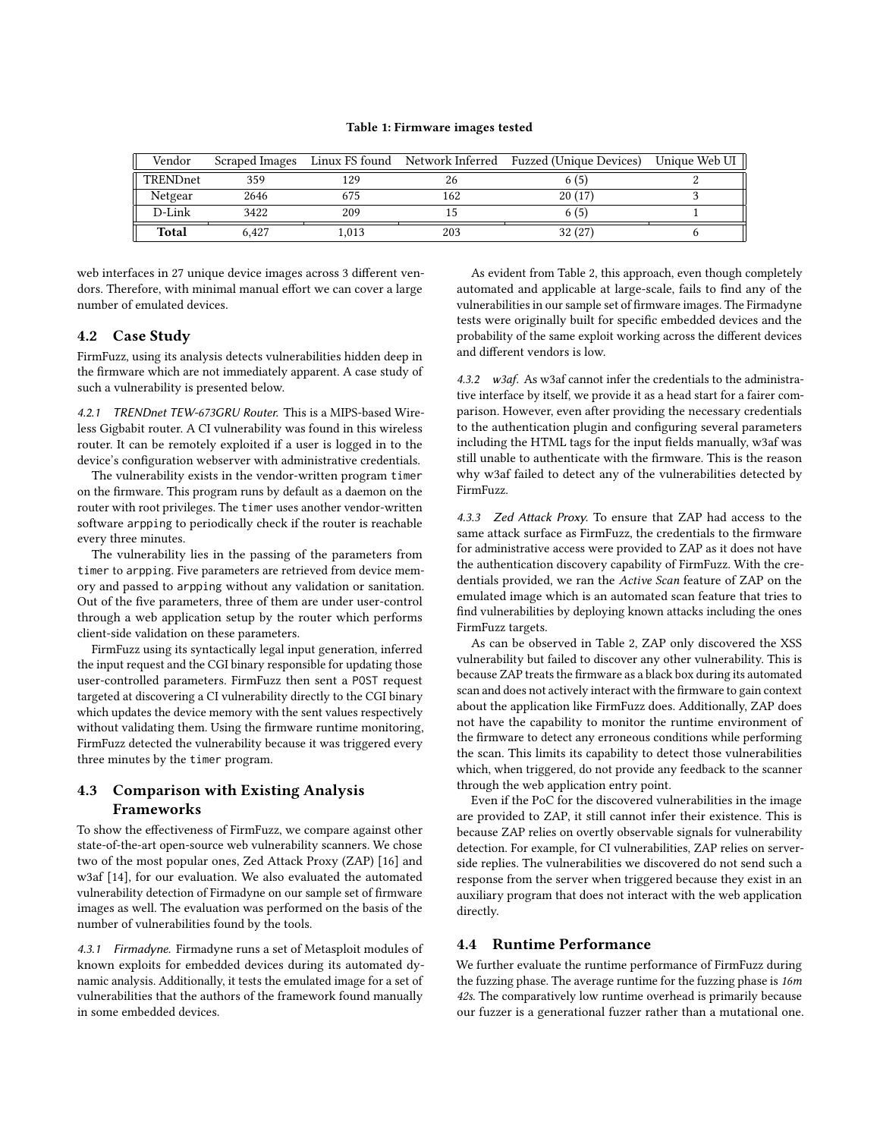#### Table 1: Firmware images tested

<span id="page-4-0"></span>

| Vendor   |       |       |       | Scraped Images Linux FS found Network Inferred Fuzzed (Unique Devices) Unique Web UI |  |  |
|----------|-------|-------|-------|--------------------------------------------------------------------------------------|--|--|
| TRENDnet | 359   | 129   | 6 (5) |                                                                                      |  |  |
| Netgear  | 2646  |       | 162   | 20 (17)                                                                              |  |  |
| D-Link   | 3422  | 209   |       | 6 (5)                                                                                |  |  |
| Total    | 6.427 | 1.013 | 203   | 32 (27                                                                               |  |  |

web interfaces in 27 unique device images across 3 different vendors. Therefore, with minimal manual effort we can cover a large number of emulated devices.

# 4.2 Case Study

FirmFuzz, using its analysis detects vulnerabilities hidden deep in the firmware which are not immediately apparent. A case study of such a vulnerability is presented below.

4.2.1 TRENDnet TEW-673GRU Router. This is a MIPS-based Wireless Gigbabit router. A CI vulnerability was found in this wireless router. It can be remotely exploited if a user is logged in to the device's configuration webserver with administrative credentials.

The vulnerability exists in the vendor-written program timer on the firmware. This program runs by default as a daemon on the router with root privileges. The timer uses another vendor-written software arpping to periodically check if the router is reachable every three minutes.

The vulnerability lies in the passing of the parameters from timer to arpping. Five parameters are retrieved from device memory and passed to arpping without any validation or sanitation. Out of the five parameters, three of them are under user-control through a web application setup by the router which performs client-side validation on these parameters.

FirmFuzz using its syntactically legal input generation, inferred the input request and the CGI binary responsible for updating those user-controlled parameters. FirmFuzz then sent a POST request targeted at discovering a CI vulnerability directly to the CGI binary which updates the device memory with the sent values respectively without validating them. Using the firmware runtime monitoring, FirmFuzz detected the vulnerability because it was triggered every three minutes by the timer program.

# 4.3 Comparison with Existing Analysis Frameworks

To show the effectiveness of FirmFuzz, we compare against other state-of-the-art open-source web vulnerability scanners. We chose two of the most popular ones, Zed Attack Proxy (ZAP) [\[16\]](#page-6-11) and w3af [\[14\]](#page-6-16), for our evaluation. We also evaluated the automated vulnerability detection of Firmadyne on our sample set of firmware images as well. The evaluation was performed on the basis of the number of vulnerabilities found by the tools.

4.3.1 Firmadyne. Firmadyne runs a set of Metasploit modules of known exploits for embedded devices during its automated dynamic analysis. Additionally, it tests the emulated image for a set of vulnerabilities that the authors of the framework found manually in some embedded devices.

As evident from [Table 2,](#page-5-0) this approach, even though completely automated and applicable at large-scale, fails to find any of the vulnerabilities in our sample set of firmware images. The Firmadyne tests were originally built for specific embedded devices and the probability of the same exploit working across the different devices and different vendors is low.

4.3.2 w3af. As w3af cannot infer the credentials to the administrative interface by itself, we provide it as a head start for a fairer comparison. However, even after providing the necessary credentials to the authentication plugin and configuring several parameters including the HTML tags for the input fields manually, w3af was still unable to authenticate with the firmware. This is the reason why w3af failed to detect any of the vulnerabilities detected by FirmFuzz.

4.3.3 Zed Attack Proxy. To ensure that ZAP had access to the same attack surface as FirmFuzz, the credentials to the firmware for administrative access were provided to ZAP as it does not have the authentication discovery capability of FirmFuzz. With the credentials provided, we ran the Active Scan feature of ZAP on the emulated image which is an automated scan feature that tries to find vulnerabilities by deploying known attacks including the ones FirmFuzz targets.

As can be observed in [Table 2,](#page-5-0) ZAP only discovered the XSS vulnerability but failed to discover any other vulnerability. This is because ZAP treats the firmware as a black box during its automated scan and does not actively interact with the firmware to gain context about the application like FirmFuzz does. Additionally, ZAP does not have the capability to monitor the runtime environment of the firmware to detect any erroneous conditions while performing the scan. This limits its capability to detect those vulnerabilities which, when triggered, do not provide any feedback to the scanner through the web application entry point.

Even if the PoC for the discovered vulnerabilities in the image are provided to ZAP, it still cannot infer their existence. This is because ZAP relies on overtly observable signals for vulnerability detection. For example, for CI vulnerabilities, ZAP relies on serverside replies. The vulnerabilities we discovered do not send such a response from the server when triggered because they exist in an auxiliary program that does not interact with the web application directly.

#### 4.4 Runtime Performance

We further evaluate the runtime performance of FirmFuzz during the fuzzing phase. The average runtime for the fuzzing phase is 16m 42s. The comparatively low runtime overhead is primarily because our fuzzer is a generational fuzzer rather than a mutational one.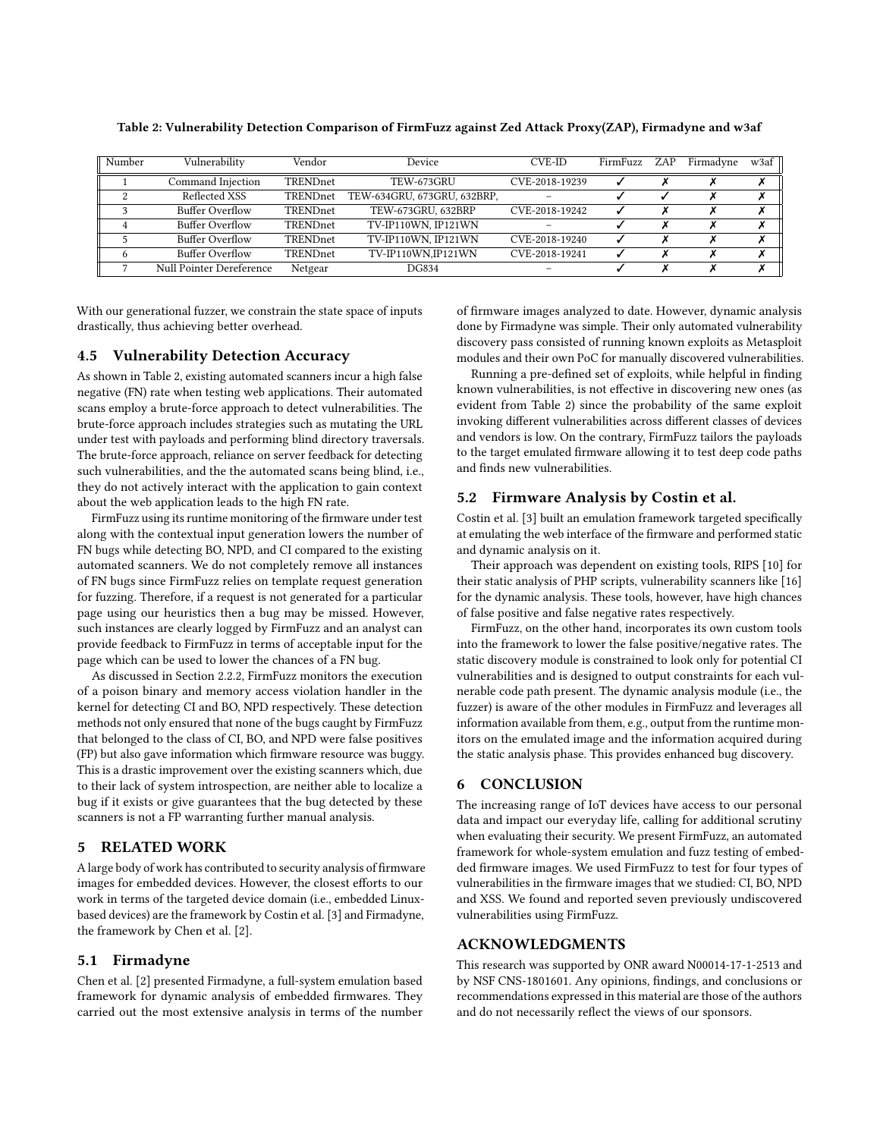| Number | Vulnerability            | Vendor   | Device                      | CVE-ID         | <b>FirmFuzz</b> | ZAP | Firmadyne | w3af |
|--------|--------------------------|----------|-----------------------------|----------------|-----------------|-----|-----------|------|
|        | Command Injection        | TRENDnet | TEW-673GRU                  | CVE-2018-19239 |                 |     |           |      |
|        | Reflected XSS            | TRENDnet | TEW-634GRU, 673GRU, 632BRP, |                |                 |     |           |      |
|        | Buffer Overflow          | TRENDnet | TEW-673GRU, 632BRP          | CVE-2018-19242 |                 |     |           |      |
|        | Buffer Overflow          | TRENDnet | <b>TV-IP110WN, IP121WN</b>  |                |                 |     |           |      |
|        | Buffer Overflow          | TRENDnet | <b>TV-IP110WN, IP121WN</b>  | CVE-2018-19240 |                 |     |           |      |
|        | <b>Buffer Overflow</b>   | TRENDnet | TV-IP110WN.IP121WN          | CVE-2018-19241 |                 |     |           |      |
|        | Null Pointer Dereference | Netgear  | DG834                       |                |                 |     |           | х    |

<span id="page-5-0"></span>Table 2: Vulnerability Detection Comparison of FirmFuzz against Zed Attack Proxy(ZAP), Firmadyne and w3af

With our generational fuzzer, we constrain the state space of inputs drastically, thus achieving better overhead.

# 4.5 Vulnerability Detection Accuracy

As shown in [Table 2,](#page-5-0) existing automated scanners incur a high false negative (FN) rate when testing web applications. Their automated scans employ a brute-force approach to detect vulnerabilities. The brute-force approach includes strategies such as mutating the URL under test with payloads and performing blind directory traversals. The brute-force approach, reliance on server feedback for detecting such vulnerabilities, and the the automated scans being blind, i.e., they do not actively interact with the application to gain context about the web application leads to the high FN rate.

FirmFuzz using its runtime monitoring of the firmware under test along with the contextual input generation lowers the number of FN bugs while detecting BO, NPD, and CI compared to the existing automated scanners. We do not completely remove all instances of FN bugs since FirmFuzz relies on template request generation for fuzzing. Therefore, if a request is not generated for a particular page using our heuristics then a bug may be missed. However, such instances are clearly logged by FirmFuzz and an analyst can provide feedback to FirmFuzz in terms of acceptable input for the page which can be used to lower the chances of a FN bug.

As discussed in [Section 2.2.2,](#page-1-0) FirmFuzz monitors the execution of a poison binary and memory access violation handler in the kernel for detecting CI and BO, NPD respectively. These detection methods not only ensured that none of the bugs caught by FirmFuzz that belonged to the class of CI, BO, and NPD were false positives (FP) but also gave information which firmware resource was buggy. This is a drastic improvement over the existing scanners which, due to their lack of system introspection, are neither able to localize a bug if it exists or give guarantees that the bug detected by these scanners is not a FP warranting further manual analysis.

# 5 RELATED WORK

A large body of work has contributed to security analysis of firmware images for embedded devices. However, the closest efforts to our work in terms of the targeted device domain (i.e., embedded Linuxbased devices) are the framework by Costin et al. [\[3\]](#page-6-4) and Firmadyne, the framework by Chen et al. [\[2\]](#page-6-3).

#### 5.1 Firmadyne

Chen et al. [\[2\]](#page-6-3) presented Firmadyne, a full-system emulation based framework for dynamic analysis of embedded firmwares. They carried out the most extensive analysis in terms of the number of firmware images analyzed to date. However, dynamic analysis done by Firmadyne was simple. Their only automated vulnerability discovery pass consisted of running known exploits as Metasploit modules and their own PoC for manually discovered vulnerabilities.

Running a pre-defined set of exploits, while helpful in finding known vulnerabilities, is not effective in discovering new ones (as evident from [Table 2\)](#page-5-0) since the probability of the same exploit invoking different vulnerabilities across different classes of devices and vendors is low. On the contrary, FirmFuzz tailors the payloads to the target emulated firmware allowing it to test deep code paths and finds new vulnerabilities.

# 5.2 Firmware Analysis by Costin et al.

Costin et al. [\[3\]](#page-6-4) built an emulation framework targeted specifically at emulating the web interface of the firmware and performed static and dynamic analysis on it.

Their approach was dependent on existing tools, RIPS [\[10\]](#page-6-17) for their static analysis of PHP scripts, vulnerability scanners like [\[16\]](#page-6-11) for the dynamic analysis. These tools, however, have high chances of false positive and false negative rates respectively.

FirmFuzz, on the other hand, incorporates its own custom tools into the framework to lower the false positive/negative rates. The static discovery module is constrained to look only for potential CI vulnerabilities and is designed to output constraints for each vulnerable code path present. The dynamic analysis module (i.e., the fuzzer) is aware of the other modules in FirmFuzz and leverages all information available from them, e.g., output from the runtime monitors on the emulated image and the information acquired during the static analysis phase. This provides enhanced bug discovery.

## 6 CONCLUSION

The increasing range of IoT devices have access to our personal data and impact our everyday life, calling for additional scrutiny when evaluating their security. We present FirmFuzz, an automated framework for whole-system emulation and fuzz testing of embedded firmware images. We used FirmFuzz to test for four types of vulnerabilities in the firmware images that we studied: CI, BO, NPD and XSS. We found and reported seven previously undiscovered vulnerabilities using FirmFuzz.

# ACKNOWLEDGMENTS

This research was supported by ONR award N00014-17-1-2513 and by NSF CNS-1801601. Any opinions, findings, and conclusions or recommendations expressed in this material are those of the authors and do not necessarily reflect the views of our sponsors.